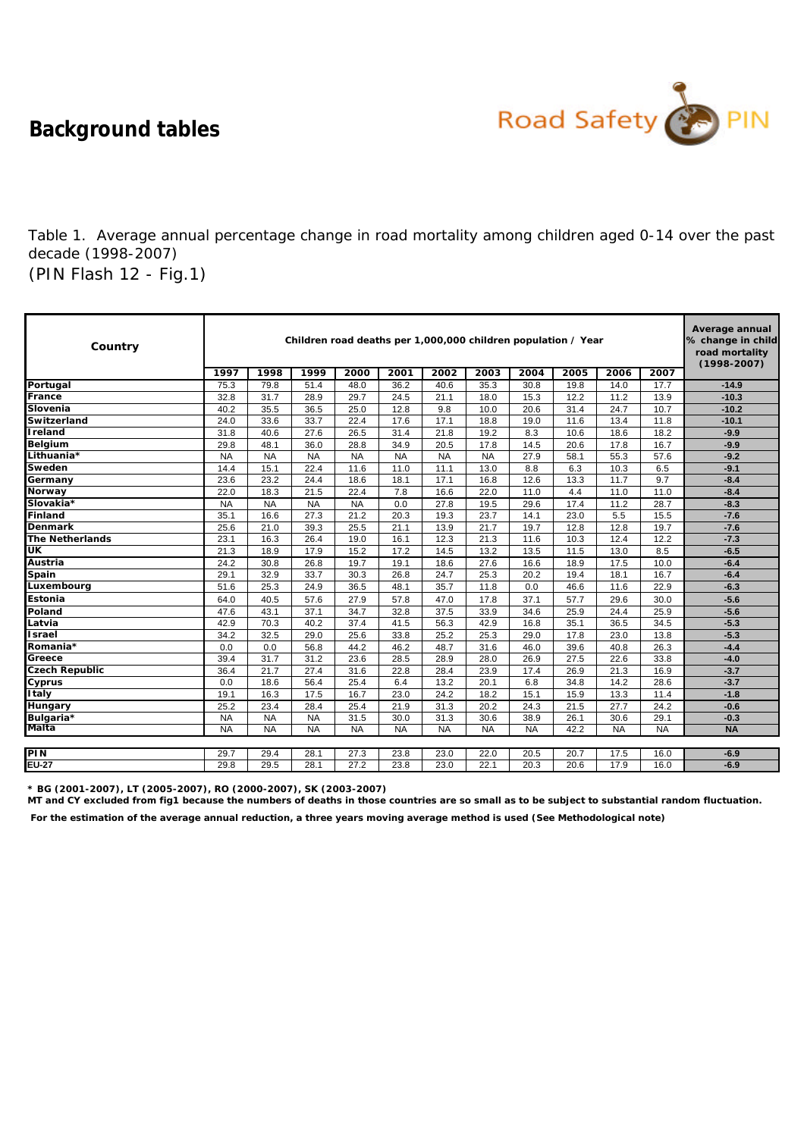**Background tables**



(PIN Flash 12 - Fig.1) Table 1. Average annual percentage change in road mortality among children aged 0-14 over the past decade (1998-2007)

| Country                | Children road deaths per 1,000,000 children population / Year |           |           |           |           |           |           |           |      |           |           | Average annual<br>% change in child<br>road mortality<br>$(1998 - 2007)$ |
|------------------------|---------------------------------------------------------------|-----------|-----------|-----------|-----------|-----------|-----------|-----------|------|-----------|-----------|--------------------------------------------------------------------------|
|                        | 1997                                                          | 1998      | 1999      | 2000      | 2001      | 2002      | 2003      | 2004      | 2005 | 2006      | 2007      |                                                                          |
| Portugal               | 75.3                                                          | 79.8      | 51.4      | 48.0      | 36.2      | 40.6      | 35.3      | 30.8      | 19.8 | 14.0      | 17.7      | $-14.9$                                                                  |
| France                 | 32.8                                                          | 31.7      | 28.9      | 29.7      | 24.5      | 21.1      | 18.0      | 15.3      | 12.2 | 11.2      | 13.9      | $-10.3$                                                                  |
| Slovenia               | 40.2                                                          | 35.5      | 36.5      | 25.0      | 12.8      | 9.8       | 10.0      | 20.6      | 31.4 | 24.7      | 10.7      | $-10.2$                                                                  |
| <b>Switzerland</b>     | 24.0                                                          | 33.6      | 33.7      | 22.4      | 17.6      | 17.1      | 18.8      | 19.0      | 11.6 | 13.4      | 11.8      | $-10.1$                                                                  |
| <b>Ireland</b>         | 31.8                                                          | 40.6      | 27.6      | 26.5      | 31.4      | 21.8      | 19.2      | 8.3       | 10.6 | 18.6      | 18.2      | $-9.9$                                                                   |
| <b>Belgium</b>         | 29.8                                                          | 48.1      | 36.0      | 28.8      | 34.9      | 20.5      | 17.8      | 14.5      | 20.6 | 17.8      | 16.7      | $-9.9$                                                                   |
| Lithuania*             | <b>NA</b>                                                     | <b>NA</b> | <b>NA</b> | <b>NA</b> | <b>NA</b> | <b>NA</b> | <b>NA</b> | 27.9      | 58.1 | 55.3      | 57.6      | $-9.2$                                                                   |
| Sweden                 | 14.4                                                          | 15.1      | 22.4      | 11.6      | 11.0      | 11.1      | 13.0      | 8.8       | 6.3  | 10.3      | 6.5       | $-9.1$                                                                   |
| Germany                | 23.6                                                          | 23.2      | 24.4      | 18.6      | 18.1      | 17.1      | 16.8      | 12.6      | 13.3 | 11.7      | 9.7       | $-8.4$                                                                   |
| <b>Norway</b>          | 22.0                                                          | 18.3      | 21.5      | 22.4      | 7.8       | 16.6      | 22.0      | 11.0      | 4.4  | 11.0      | 11.0      | $-8.4$                                                                   |
| Slovakia*              | <b>NA</b>                                                     | <b>NA</b> | <b>NA</b> | <b>NA</b> | 0.0       | 27.8      | 19.5      | 29.6      | 17.4 | 11.2      | 28.7      | $-8.3$                                                                   |
| Finland                | 35.1                                                          | 16.6      | 27.3      | 21.2      | 20.3      | 19.3      | 23.7      | 14.1      | 23.0 | 5.5       | 15.5      | $-7.6$                                                                   |
| <b>Denmark</b>         | 25.6                                                          | 21.0      | 39.3      | 25.5      | 21.1      | 13.9      | 21.7      | 19.7      | 12.8 | 12.8      | 19.7      | $-7.6$                                                                   |
| <b>The Netherlands</b> | 23.1                                                          | 16.3      | 26.4      | 19.0      | 16.1      | 12.3      | 21.3      | 11.6      | 10.3 | 12.4      | 12.2      | $-7.3$                                                                   |
| UK                     | 21.3                                                          | 18.9      | 17.9      | 15.2      | 17.2      | 14.5      | 13.2      | 13.5      | 11.5 | 13.0      | 8.5       | $-6.5$                                                                   |
| Austria                | 24.2                                                          | 30.8      | 26.8      | 19.7      | 19.1      | 18.6      | 27.6      | 16.6      | 18.9 | 17.5      | 10.0      | $-6.4$                                                                   |
| Spain                  | 29.1                                                          | 32.9      | 33.7      | 30.3      | 26.8      | 24.7      | 25.3      | 20.2      | 19.4 | 18.1      | 16.7      | $-6.4$                                                                   |
| Luxembourg             | 51.6                                                          | 25.3      | 24.9      | 36.5      | 48.1      | 35.7      | 11.8      | 0.0       | 46.6 | 11.6      | 22.9      | $-6.3$                                                                   |
| <b>Estonia</b>         | 64.0                                                          | 40.5      | 57.6      | 27.9      | 57.8      | 47.0      | 17.8      | 37.1      | 57.7 | 29.6      | 30.0      | $-5.6$                                                                   |
| Poland                 | 47.6                                                          | 43.1      | 37.1      | 34.7      | 32.8      | 37.5      | 33.9      | 34.6      | 25.9 | 24.4      | 25.9      | $-5.6$                                                                   |
| Latvia                 | 42.9                                                          | 70.3      | 40.2      | 37.4      | 41.5      | 56.3      | 42.9      | 16.8      | 35.1 | 36.5      | 34.5      | $-5.3$                                                                   |
| Israel                 | 34.2                                                          | 32.5      | 29.0      | 25.6      | 33.8      | 25.2      | 25.3      | 29.0      | 17.8 | 23.0      | 13.8      | $-5.3$                                                                   |
| Romania*               | 0.0                                                           | 0.0       | 56.8      | 44.2      | 46.2      | 48.7      | 31.6      | 46.0      | 39.6 | 40.8      | 26.3      | $-4.4$                                                                   |
| Greece                 | 39.4                                                          | 31.7      | 31.2      | 23.6      | 28.5      | 28.9      | 28.0      | 26.9      | 27.5 | 22.6      | 33.8      | $-4.0$                                                                   |
| <b>Czech Republic</b>  | 36.4                                                          | 21.7      | 27.4      | 31.6      | 22.8      | 28.4      | 23.9      | 17.4      | 26.9 | 21.3      | 16.9      | $-3.7$                                                                   |
| Cyprus                 | 0.0                                                           | 18.6      | 56.4      | 25.4      | 6.4       | 13.2      | 20.1      | 6.8       | 34.8 | 14.2      | 28.6      | $-3.7$                                                                   |
| <b>Italy</b>           | 19.1                                                          | 16.3      | 17.5      | 16.7      | 23.0      | 24.2      | 18.2      | 15.1      | 15.9 | 13.3      | 11.4      | $-1.8$                                                                   |
| <b>Hungary</b>         | 25.2                                                          | 23.4      | 28.4      | 25.4      | 21.9      | 31.3      | 20.2      | 24.3      | 21.5 | 27.7      | 24.2      | $-0.6$                                                                   |
| Bulgaria*              | <b>NA</b>                                                     | <b>NA</b> | <b>NA</b> | 31.5      | 30.0      | 31.3      | 30.6      | 38.9      | 26.1 | 30.6      | 29.1      | $-0.3$                                                                   |
| Malta                  | <b>NA</b>                                                     | <b>NA</b> | <b>NA</b> | <b>NA</b> | <b>NA</b> | <b>NA</b> | <b>NA</b> | <b>NA</b> | 42.2 | <b>NA</b> | <b>NA</b> | <b>NA</b>                                                                |
|                        |                                                               |           |           |           |           |           |           |           |      |           |           |                                                                          |
| PIN                    | 29.7                                                          | 29.4      | 28.1      | 27.3      | 23.8      | 23.0      | 22.0      | 20.5      | 20.7 | 17.5      | 16.0      | $-6.9$                                                                   |
| <b>EU-27</b>           | 29.8                                                          | 29.5      | 28.1      | 27.2      | 23.8      | 23.0      | 22.1      | 20.3      | 20.6 | 17.9      | 16.0      | $-6.9$                                                                   |

**\* BG (2001-2007), LT (2005-2007), RO (2000-2007), SK (2003-2007)**

**MT and CY excluded from fig1 because the numbers of deaths in those countries are so small as to be subject to substantial random fluctuation.** 

 **For the estimation of the average annual reduction, a three years moving average method is used (See Methodological note)**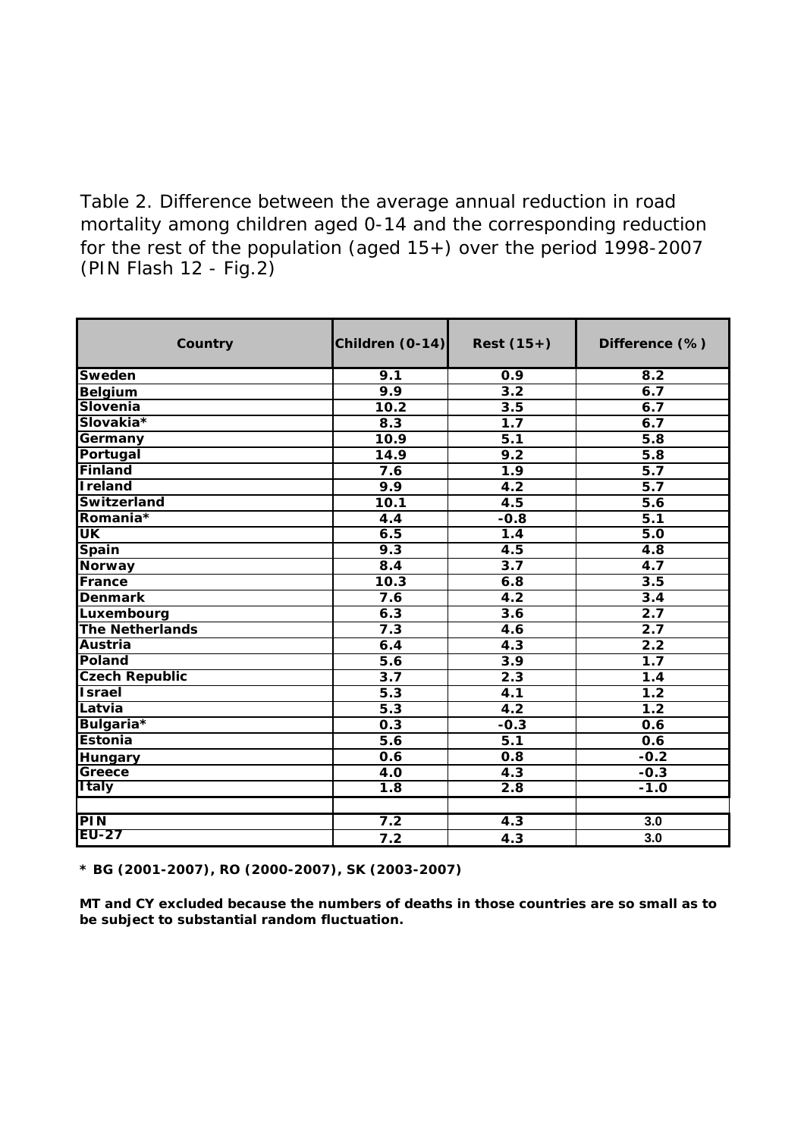(PIN Flash 12 - Fig.2) Table 2. Difference between the average annual reduction in road mortality among children aged 0-14 and the corresponding reduction for the rest of the population (aged 15+) over the period 1998-2007

| Country                    | Children (0-14)  | $Rest(15+)$      | Difference (%)   |
|----------------------------|------------------|------------------|------------------|
| <b>Sweden</b>              | 9.1              | $\overline{0.9}$ | $\overline{8.2}$ |
| <b>Belgium</b>             | 9.9              | $\overline{3.2}$ | 6.7              |
| Slovenia                   | 10.2             | 3.5              | 6.7              |
| Slovakia*                  | 8.3              | 1.7              | 6.7              |
| Germany                    | 10.9             | $\overline{5.1}$ | 5.8              |
| Portugal                   | 14.9             | 9.2              | 5.8              |
| Finland                    | 7.6              | $\overline{1.9}$ | $\overline{5.7}$ |
| <b>Ireland</b>             | 9.9              | 4.2              | $\overline{5.7}$ |
| Switzerland                | 10.1             | 4.5              | $\overline{5.6}$ |
| Romania*                   | 4.4              | $-0.8$           | $\overline{5.1}$ |
| UK                         | 6.5              | 1.4              | 5.0              |
| <b>Spain</b>               | 9.3              | 4.5              | 4.8              |
| <b>Norway</b>              | 8.4              | $\overline{3.7}$ | 4.7              |
| France                     | 10.3             | 6.8              | 3.5              |
| <b>Denmark</b>             | 7.6              | 4.2              | 3.4              |
| Luxembourg                 | 6.3              | $\overline{3.6}$ | 2.7              |
| <b>The Netherlands</b>     | 7.3              | $\overline{4.6}$ | $\overline{2.7}$ |
| <b>Austria</b>             | 6.4              | 4.3              | 2.2              |
| Poland                     | 5.6              | $\overline{3.9}$ | 1.7              |
| <b>Czech Republic</b>      | 3.7              | 2.3              | 1.4              |
| <b>Israel</b>              | $\overline{5.3}$ | $\overline{4.1}$ | 1.2              |
| Latvia                     | $\overline{5.3}$ | $\overline{4.2}$ | 1.2              |
| Bulgaria <sup>*</sup>      | 0.3              | $-0.3$           | 0.6              |
| <b>Estonia</b>             | $\overline{5.6}$ | $\overline{5.1}$ | 0.6              |
| <b>Hungary</b>             | 0.6              | 0.8              | $-0.2$           |
| Greece                     | $\overline{4.0}$ | 4.3              | $-0.3$           |
| <b>Italy</b>               | $\overline{1.8}$ | 2.8              | $-1.0$           |
|                            |                  |                  |                  |
| <b>PIN</b><br><b>EU-27</b> | 7.2              | 4.3              | 3.0              |
|                            | 7.2              | 4.3              | 3.0              |

**\* BG (2001-2007), RO (2000-2007), SK (2003-2007)**

**MT and CY excluded because the numbers of deaths in those countries are so small as to be subject to substantial random fluctuation.**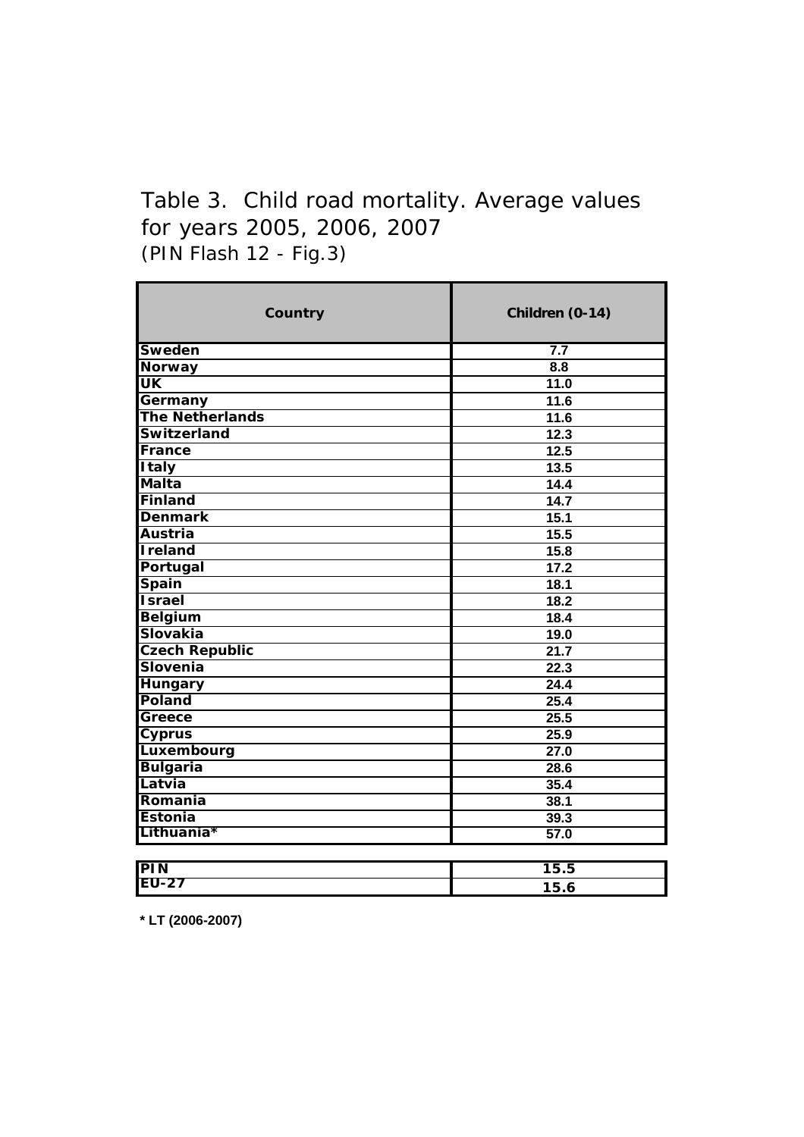# (PIN Flash 12 - Fig.3) Table 3. Child road mortality. Average values for years 2005, 2006, 2007

| Country                    | Children (0-14)   |
|----------------------------|-------------------|
| <b>Sweden</b>              | 7.7               |
| <b>Norway</b>              | 8.8               |
| UK                         | 11.0              |
| Germany                    | 11.6              |
| <b>The Netherlands</b>     | 11.6              |
| <b>Switzerland</b>         | 12.3              |
| France                     | 12.5              |
| <b>Italy</b>               | 13.5              |
| <b>Malta</b>               | 14.4              |
| <b>Finland</b>             | 14.7              |
| <b>Denmark</b>             | 15.1              |
| <b>Austria</b>             | 15.5              |
| <b>Ireland</b>             | 15.8              |
| Portugal                   | 17.2              |
| <b>Spain</b>               | 18.1              |
| <b>Israel</b>              | 18.2              |
| <b>Belgium</b>             | 18.4              |
| <b>Slovakia</b>            | 19.0              |
| <b>Czech Republic</b>      | $\overline{21.7}$ |
| Slovenia                   | $\overline{22.3}$ |
| <b>Hungary</b>             | 24.4              |
| Poland                     | 25.4              |
| Greece                     | 25.5              |
| Cyprus                     | 25.9              |
| Luxembourg                 | 27.0              |
| <b>Bulgaria</b>            | 28.6              |
| Latvia                     | 35.4              |
| Romania                    | 38.1              |
| Estonia                    | 39.3              |
| Lithuania*                 | 57.0              |
|                            |                   |
| <b>PIN</b><br><b>EU-27</b> | 15.5              |
|                            | 15.6              |

**\* LT (2006-2007)**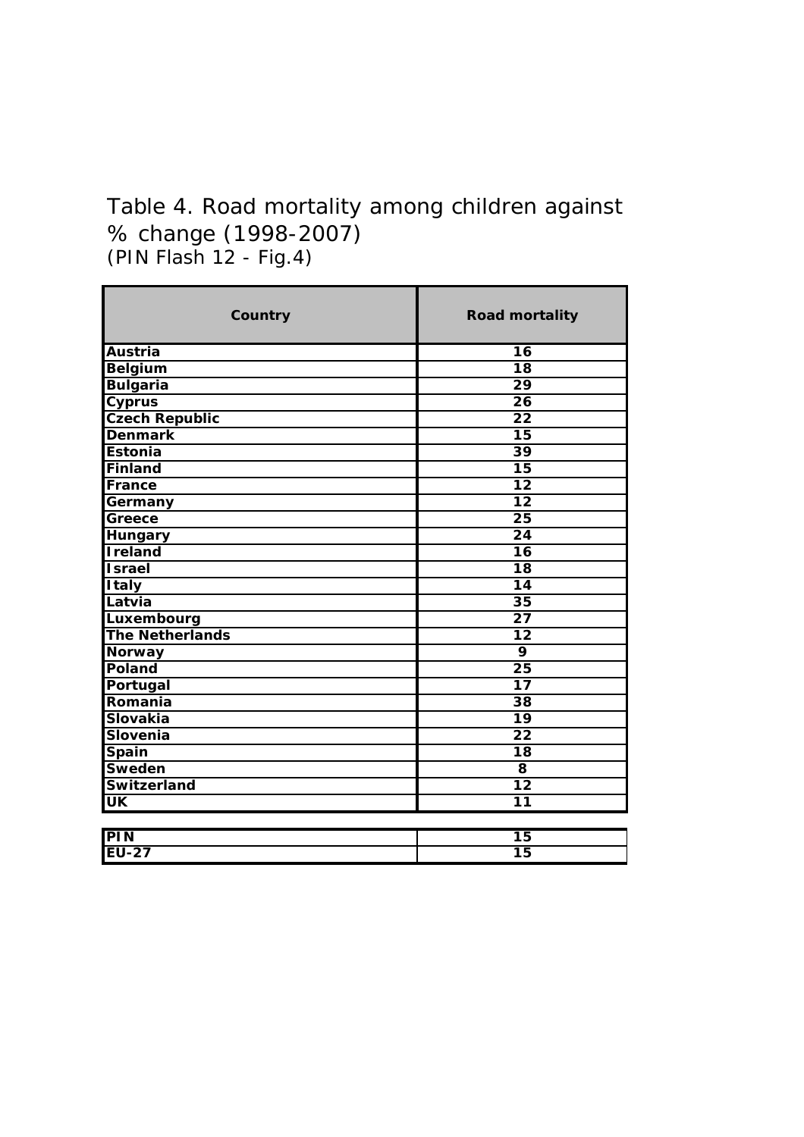# (PIN Flash 12 - Fig.4) Table 4. Road mortality among children against % change (1998-2007)

| <b>Road mortality</b> |
|-----------------------|
| $\overline{16}$       |
| $\overline{18}$       |
| $\overline{29}$       |
| $\overline{26}$       |
| $\overline{22}$       |
| $\overline{15}$       |
| $\overline{39}$       |
| $\overline{15}$       |
| $\overline{12}$       |
| $\overline{12}$       |
| $\overline{25}$       |
| $\overline{24}$       |
| $\overline{16}$       |
| $\overline{18}$       |
| $\overline{14}$       |
| $\overline{35}$       |
| 27                    |
| 12                    |
| $\overline{9}$        |
| $\overline{25}$       |
| 17                    |
| 38                    |
| 19                    |
| $\overline{22}$       |
| 18                    |
| 8                     |
| $\overline{12}$       |
| 11                    |
| $\overline{15}$       |
| $\overline{15}$       |
|                       |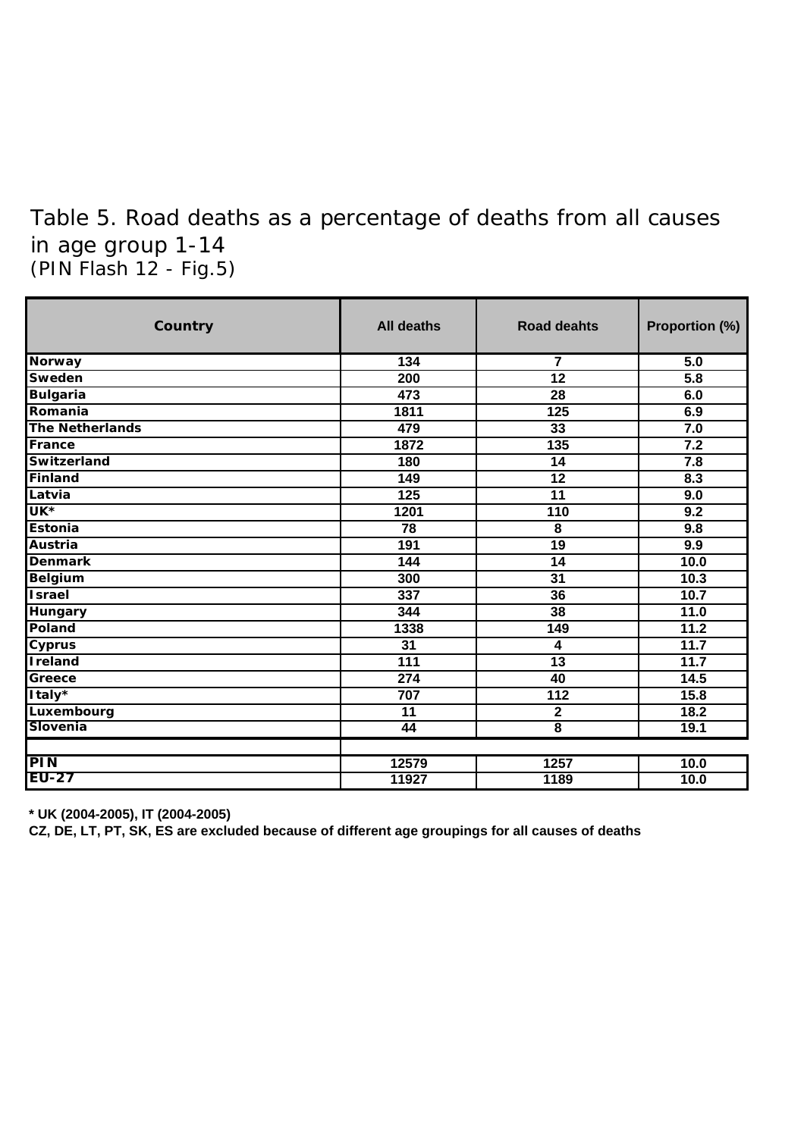## (PIN Flash 12 - Fig.5) Table 5. Road deaths as a percentage of deaths from all causes in age group 1-14

| Country                | <b>All deaths</b> | <b>Road deahts</b>      | Proportion (%) |
|------------------------|-------------------|-------------------------|----------------|
| <b>Norway</b>          | 134               | 7                       | 5.0            |
| <b>Sweden</b>          | 200               | 12                      | 5.8            |
| <b>Bulgaria</b>        | 473               | 28                      | 6.0            |
| Romania                | 1811              | 125                     | 6.9            |
| <b>The Netherlands</b> | 479               | 33                      | 7.0            |
| France                 | 1872              | 135                     | 7.2            |
| <b>Switzerland</b>     | 180               | $\overline{14}$         | 7.8            |
| Finland                | 149               | 12                      | 8.3            |
| Latvia                 | 125               | $\overline{11}$         | 9.0            |
| UK <sup>*</sup>        | 1201              | 110                     | 9.2            |
| Estonia                | 78                | $\overline{\mathbf{8}}$ | 9.8            |
| Austria                | 191               | 19                      | 9.9            |
| <b>Denmark</b>         | 144               | $\overline{14}$         | 10.0           |
| <b>Belgium</b>         | 300               | $\overline{31}$         | 10.3           |
| <b>Israel</b>          | 337               | 36                      | 10.7           |
| <b>Hungary</b>         | 344               | 38                      | 11.0           |
| Poland                 | 1338              | 149                     | 11.2           |
| <b>Cyprus</b>          | $\overline{31}$   | 4                       | 11.7           |
| <b>I</b> reland        | $\overline{111}$  | $\overline{13}$         | 11.7           |
| Greece                 | $\overline{274}$  | 40                      | 14.5           |
| Italy*                 | 707               | 112                     | 15.8           |
| Luxembourg             | $\overline{11}$   | $\mathbf 2$             | 18.2           |
| Slovenia               | 44                | $\overline{\mathbf{8}}$ | 19.1           |
| <b>PIN</b>             | 12579             | 1257                    | 10.0           |
| <b>EU-27</b>           | 11927             | 1189                    | 10.0           |

**\* UK (2004-2005), IT (2004-2005)**

**CZ, DE, LT, PT, SK, ES are excluded because of different age groupings for all causes of deaths**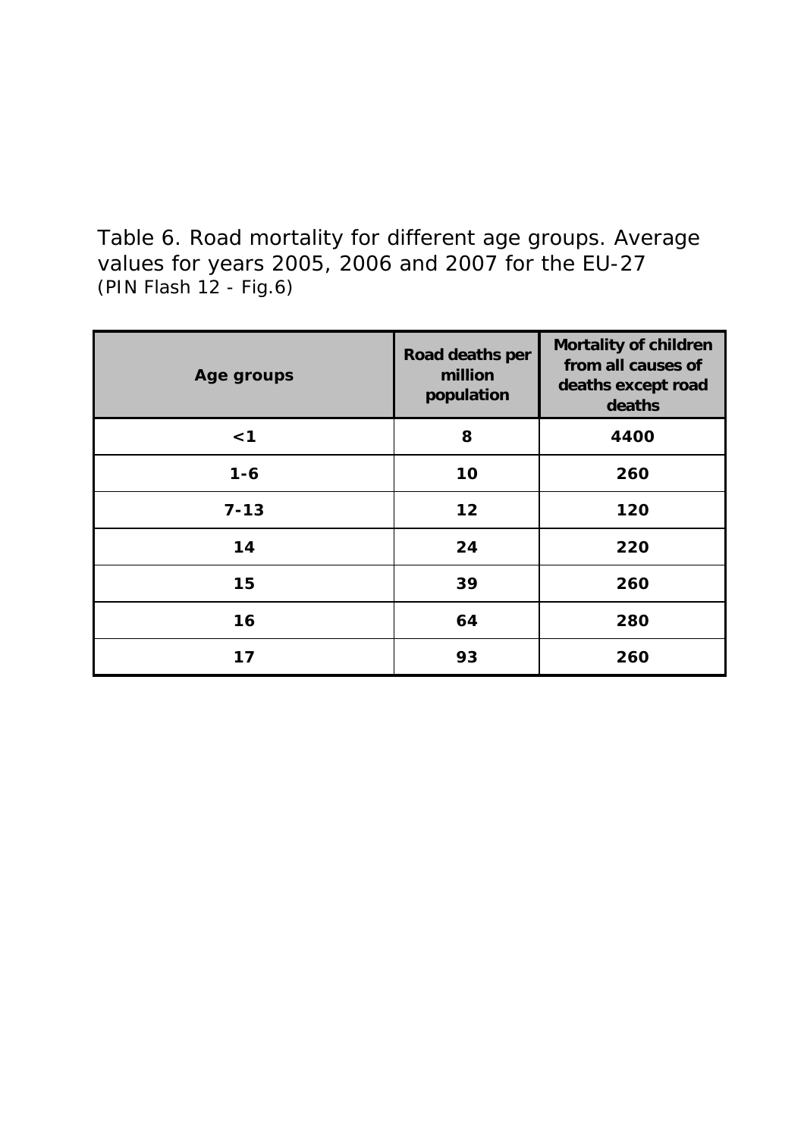(PIN Flash 12 - Fig.6) Table 6. Road mortality for different age groups. Average values for years 2005, 2006 and 2007 for the EU-27

| Age groups | Road deaths per<br>million<br>population | <b>Mortality of children</b><br>from all causes of<br>deaths except road<br>deaths |
|------------|------------------------------------------|------------------------------------------------------------------------------------|
| $<$ 1      | 8                                        | 4400                                                                               |
| $1 - 6$    | 10                                       | 260                                                                                |
| $7 - 13$   | 12                                       | 120                                                                                |
| 14         | 24                                       | 220                                                                                |
| 15         | 39                                       | 260                                                                                |
| 16         | 64                                       | 280                                                                                |
| 17         | 93                                       | 260                                                                                |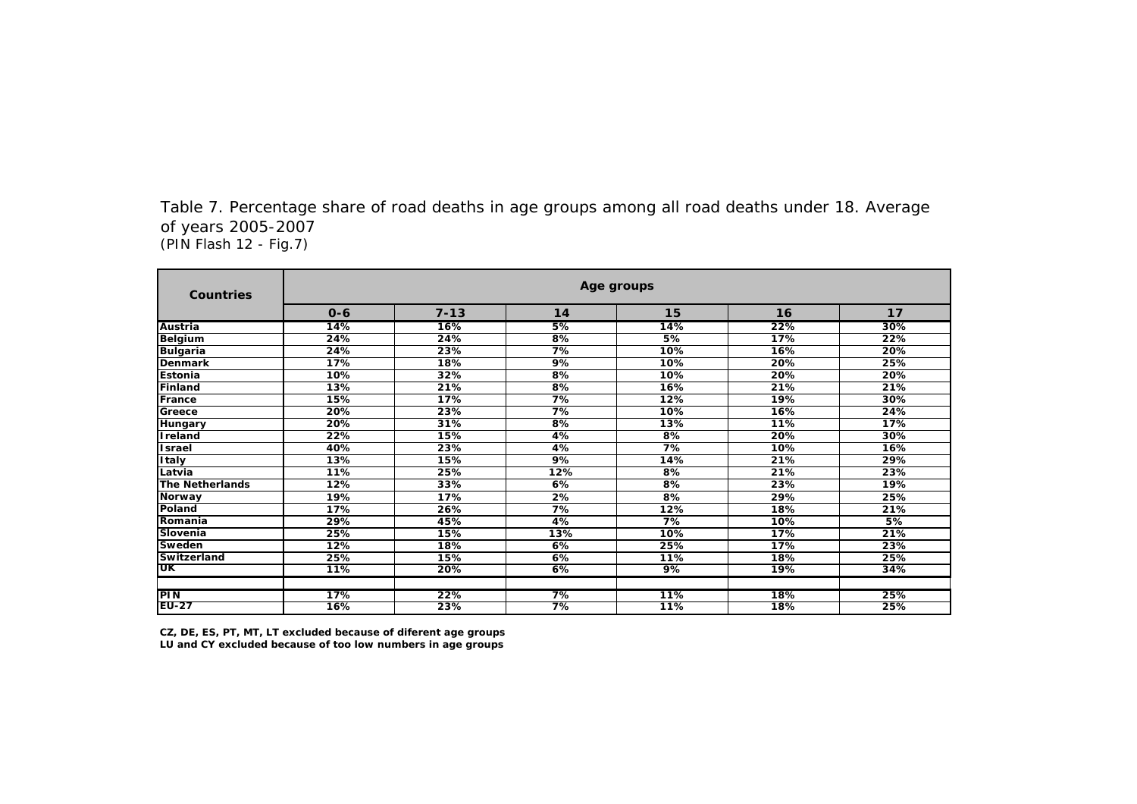| Age groups        |                   |                   |                  |     |                                                     |  |  |  |  |  |
|-------------------|-------------------|-------------------|------------------|-----|-----------------------------------------------------|--|--|--|--|--|
| $0 - 6$           | $7 - 13$          | 14                | 15               | 16  | 17                                                  |  |  |  |  |  |
| 14%               | 16%               | 5%                | 14%              | 22% | 30%                                                 |  |  |  |  |  |
| 24%               | 24%               | 8%                | 5%               | 17% | 22%                                                 |  |  |  |  |  |
| 24%               | 23%               | $\overline{7\%}$  | 10%              | 16% | 20%                                                 |  |  |  |  |  |
| 17%               | 18%               | 9%                | 10%              | 20% | 25%                                                 |  |  |  |  |  |
| 10%               | 32%               | $8\%$             | 10%              | 20% | 20%                                                 |  |  |  |  |  |
| 13%               | 21%               | 8%                | 16%              | 21% | 21%                                                 |  |  |  |  |  |
| 15%               | $\overline{17\%}$ | $\overline{7\%}$  | 12%              | 19% | 30%                                                 |  |  |  |  |  |
| 20%               | 23%               | $\overline{7\%}$  | 10%              | 16% | 24%                                                 |  |  |  |  |  |
| 20%               | 31%               | 8%                | 13%              | 11% | 17%                                                 |  |  |  |  |  |
| 22%               | 15%               | 4%                | 8%               | 20% | 30%                                                 |  |  |  |  |  |
| 40%               | 23%               | 4%                | 7%               | 10% | 16%                                                 |  |  |  |  |  |
| 13%               | 15%               | $\overline{9\%}$  | 14%              | 21% | 29%                                                 |  |  |  |  |  |
| $\overline{11\%}$ | 25%               | $\overline{12\%}$ | $8\%$            | 21% | 23%                                                 |  |  |  |  |  |
| 12%               | 33%               | 6%                | 8%               | 23% | 19%                                                 |  |  |  |  |  |
| 19%               | 17%               | $\overline{2\%}$  | $8\%$            | 29% | 25%                                                 |  |  |  |  |  |
| 17%               | 26%               | 7%                | 12%              | 18% | 21%                                                 |  |  |  |  |  |
| 29%               | 45%               | 4%                | 7%               | 10% | 5%                                                  |  |  |  |  |  |
| 25%               | 15%               | 13%               | 10%              | 17% | 21%                                                 |  |  |  |  |  |
| 12%               | 18%               | 6%                | 25%              | 17% | 23%                                                 |  |  |  |  |  |
| 25%               | 15%               | 6%                | 11%              | 18% | 25%                                                 |  |  |  |  |  |
| 11%               | 20%               | 6%                | $\overline{9\%}$ | 19% | 34%                                                 |  |  |  |  |  |
|                   |                   |                   |                  |     |                                                     |  |  |  |  |  |
|                   |                   |                   |                  |     | 25%<br>25%                                          |  |  |  |  |  |
|                   | 17%               | 22%               | 7%               | 11% | 18%<br>16%<br>$\overline{7\%}$<br>23%<br>11%<br>18% |  |  |  |  |  |

(PIN Flash 12 - Fig.7) Table 7. Percentage share of road deaths in age groups among all road deaths under 18. Average of years 2005-2007

**LU and CY excluded because of too low numbers in age groups CZ, DE, ES, PT, MT, LT excluded because of diferent age groups**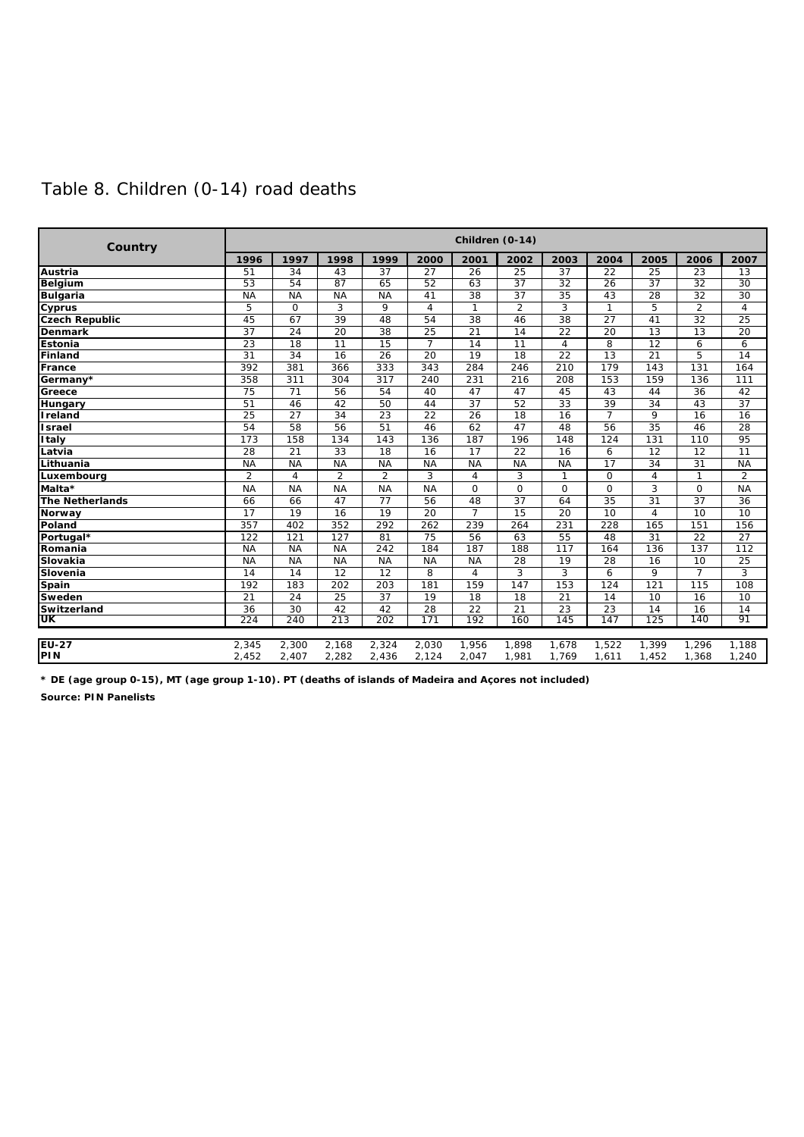| Country |                          |                |                |                |        | Children (0-14) |        |
|---------|--------------------------|----------------|----------------|----------------|--------|-----------------|--------|
|         | $\overline{\phantom{a}}$ | $\overline{a}$ | $\overline{a}$ | $\overline{a}$ | $\sim$ | $\sim$          | $\sim$ |

### Table 8. Children (0-14) road deaths

| <b>Countily</b>        |                 |                 |                 |                 |                 |                 |                 |                  |                 |                 |                 |                 |
|------------------------|-----------------|-----------------|-----------------|-----------------|-----------------|-----------------|-----------------|------------------|-----------------|-----------------|-----------------|-----------------|
|                        | 1996            | 1997            | 1998            | 1999            | 2000            | 2001            | 2002            | 2003             | 2004            | 2005            | 2006            | 2007            |
| <b>Austria</b>         | 51              | 34              | 43              | 37              | 27              | 26              | 25              | 37               | 22              | 25              | 23              | 13              |
| <b>Belgium</b>         | 53              | 54              | 87              | 65              | 52              | 63              | 37              | 32               | $\overline{26}$ | 37              | $\overline{32}$ | 30              |
| <b>Bulgaria</b>        | <b>NA</b>       | <b>NA</b>       | <b>NA</b>       | <b>NA</b>       | 41              | $\overline{38}$ | $\overline{37}$ | $\overline{35}$  | 43              | 28              | $\overline{32}$ | $\overline{30}$ |
| <b>Cyprus</b>          | 5               | $\mathbf 0$     | 3               | 9               | $\overline{4}$  | 1               | 2               | 3                | 1               | 5               | $\overline{2}$  | $\overline{4}$  |
| <b>Czech Republic</b>  | 45              | 67              | 39              | 48              | $\overline{54}$ | $\overline{38}$ | 46              | $\overline{38}$  | $\overline{27}$ | 41              | $\overline{32}$ | $\overline{25}$ |
| <b>Denmark</b>         | $\overline{37}$ | $\overline{24}$ | $\overline{20}$ | $\overline{38}$ | $\overline{25}$ | 21              | $\overline{14}$ | $\overline{22}$  | 20              | 13              | 13              | 20              |
| Estonia                | 23              | 18              | 11              | 15              | $\overline{7}$  | 14              | 11              | $\overline{4}$   | 8               | 12              | 6               | 6               |
| Finland                | 31              | 34              | 16              | 26              | 20              | 19              | 18              | 22               | 13              | 21              | 5               | 14              |
| France                 | 392             | 381             | 366             | 333             | 343             | 284             | 246             | $\overline{210}$ | 179             | 143             | 131             | 164             |
| Germany*               | 358             | 311             | 304             | 317             | 240             | 231             | 216             | 208              | 153             | 159             | 136             | 111             |
| Greece                 | 75              | 71              | 56              | 54              | 40              | 47              | 47              | 45               | 43              | 44              | 36              | 42              |
| Hungary                | 51              | 46              | 42              | 50              | 44              | 37              | 52              | $\overline{33}$  | 39              | $\overline{34}$ | 43              | 37              |
| <b>Ireland</b>         | 25              | 27              | 34              | 23              | 22              | 26              | 18              | 16               | $\overline{7}$  | 9               | 16              | 16              |
| <b>Israel</b>          | 54              | 58              | 56              | 51              | 46              | 62              | 47              | 48               | 56              | 35              | 46              | $\overline{28}$ |
| <b>Italy</b>           | 173             | 158             | 134             | 143             | 136             | 187             | 196             | 148              | 124             | 131             | 110             | 95              |
| Latvia                 | 28              | 21              | 33              | 18              | 16              | 17              | 22              | 16               | 6               | 12              | 12              | 11              |
| Lithuania              | <b>NA</b>       | <b>NA</b>       | <b>NA</b>       | <b>NA</b>       | <b>NA</b>       | <b>NA</b>       | <b>NA</b>       | <b>NA</b>        | $\overline{17}$ | 34              | $\overline{31}$ | <b>NA</b>       |
| Luxembourg             | $\overline{2}$  | 4               | 2               | $\overline{2}$  | 3               | 4               | 3               | $\mathbf{1}$     | $\Omega$        | $\overline{4}$  | 1               | 2               |
| Malta*                 | <b>NA</b>       | <b>NA</b>       | <b>NA</b>       | <b>NA</b>       | <b>NA</b>       | $\Omega$        | $\Omega$        | $\Omega$         | $\Omega$        | 3               | $\Omega$        | <b>NA</b>       |
| <b>The Netherlands</b> | 66              | 66              | 47              | $\overline{77}$ | 56              | 48              | 37              | 64               | 35              | 31              | 37              | 36              |
| <b>Norway</b>          | $\overline{17}$ | 19              | $\overline{16}$ | $\overline{19}$ | $\overline{20}$ | $\overline{7}$  | 15              | $\overline{20}$  | 10              | 4               | 10              | $\overline{10}$ |
| Poland                 | 357             | 402             | 352             | 292             | 262             | 239             | 264             | 231              | 228             | 165             | 151             | 156             |
| Portugal*              | 122             | 121             | 127             | 81              | 75              | 56              | 63              | 55               | 48              | 31              | 22              | 27              |
| Romania                | <b>NA</b>       | <b>NA</b>       | <b>NA</b>       | 242             | 184             | 187             | 188             | 117              | 164             | 136             | 137             | 112             |
| Slovakia               | <b>NA</b>       | <b>NA</b>       | <b>NA</b>       | <b>NA</b>       | <b>NA</b>       | <b>NA</b>       | 28              | 19               | 28              | 16              | 10              | $\overline{25}$ |
| Slovenia               | 14              | 14              | 12              | $\overline{12}$ | 8               | 4               | 3               | $\overline{3}$   | 6               | 9               | $\overline{7}$  | 3               |
| Spain                  | 192             | 183             | 202             | 203             | 181             | 159             | 147             | 153              | 124             | 121             | 115             | 108             |
| Sweden                 | $\overline{21}$ | $\overline{24}$ | $\overline{25}$ | $\overline{37}$ | 19              | 18              | $\overline{18}$ | $\overline{21}$  | 14              | 10              | 16              | 10              |
| Switzerland            | 36              | 30              | 42              | 42              | 28              | 22              | $\overline{21}$ | 23               | 23              | 14              | 16              | 14              |
| UK                     | 224             | 240             | 213             | 202             | 171             | 192             | 160             | 145              | 147             | 125             | 140             | 91              |
| <b>EU-27</b>           | 2,345           | 2,300           | 2,168           | 2,324           | 2,030           | 1,956           | 1,898           | 1,678            | 1,522           | 1,399           | 1,296           | 1,188           |
| PIN                    | 2,452           | 2,407           | 2,282           | 2,436           | 2,124           | 2,047           | 1,981           | 1,769            | 1,611           | 1,452           | 1,368           | 1,240           |

**Source: PIN Panelists \* DE (age group 0-15), MT (age group 1-10). PT (deaths of islands of Madeira and Açores not included)**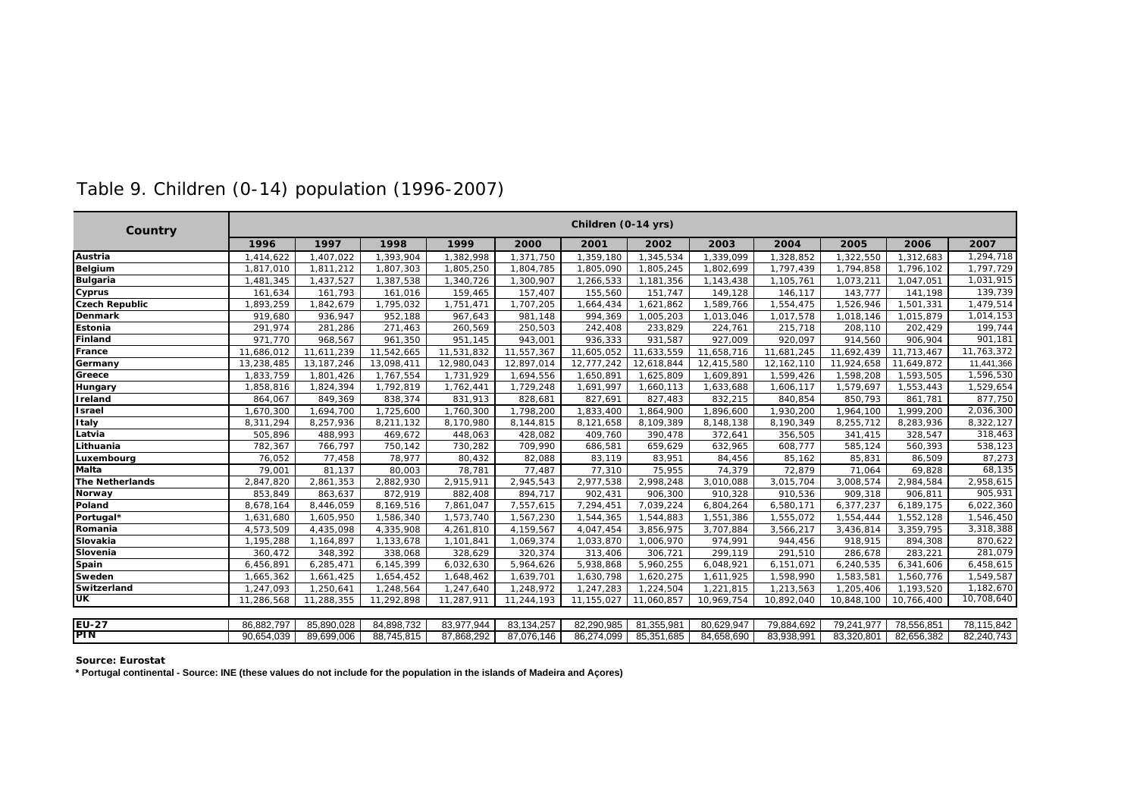| Country               |            |              |            |            |            | Children (0-14 yrs) |            |            |            |            |            |            |
|-----------------------|------------|--------------|------------|------------|------------|---------------------|------------|------------|------------|------------|------------|------------|
|                       | 1996       | 1997         | 1998       | 1999       | 2000       | 2001                | 2002       | 2003       | 2004       | 2005       | 2006       | 2007       |
| Austria               | 1,414,622  | 1.407.022    | ,393,904   | 1.382.998  | 1.371.750  | 1,359,180           | 1,345,534  | 1,339,099  | 1.328.852  | .322.550   | 1.312.683  | 1,294,718  |
| <b>Belgium</b>        | 1,817,010  | 1,811,212    | 1,807,303  | 1,805,250  | 1,804,785  | 1,805,090           | 1,805,245  | 1,802,699  | 1,797,439  | 1,794,858  | 1,796,102  | 1,797,729  |
| <b>Bulgaria</b>       | 1,481,345  | 1,437,527    | 1,387,538  | 1,340,726  | 1,300,907  | 1,266,533           | 1,181,356  | 1,143,438  | 1,105,761  | 1,073,211  | 1,047,051  | 1,031,915  |
| Cyprus                | 161,634    | 161,793      | 161,016    | 159,465    | 157,407    | 155,560             | 151,747    | 149,128    | 146,117    | 143,777    | 141,198    | 139,739    |
| <b>Czech Republic</b> | 1,893,259  | 1,842,679    | 1,795,032  | 1,751,471  | 1,707,205  | 1,664,434           | 1,621,862  | 1,589,766  | 1,554,475  | 1,526,946  | 1,501,331  | 1,479,514  |
| Denmark               | 919,680    | 936,947      | 952,188    | 967,643    | 981,148    | 994,369             | 1,005,203  | 1,013,046  | 1,017,578  | 1,018,146  | 1,015,879  | 1,014,153  |
| Estonia               | 291,974    | 281,286      | 271,463    | 260,569    | 250,503    | 242,408             | 233,829    | 224,761    | 215,718    | 208,110    | 202,429    | 199,744    |
| Finland               | 971,770    | 968,567      | 961,350    | 951,145    | 943,001    | 936,333             | 931,587    | 927,009    | 920,097    | 914,560    | 906,904    | 901,181    |
| France                | 11,686,012 | 11,611,239   | 11,542,665 | 11,531,832 | 11,557,367 | 11,605,052          | 11,633,559 | 11,658,716 | 11,681,245 | 11,692,439 | 11,713,467 | 11,763,372 |
| Germany               | 13,238,485 | 13, 187, 246 | 13,098,411 | 12,980,043 | 12,897,014 | 12,777,242          | 12,618,844 | 12,415,580 | 12,162,110 | 11,924,658 | 11,649,872 | 11,441,366 |
| Greece                | 1,833,759  | 1,801,426    | 1,767,554  | 1,731,929  | 1,694,556  | 1,650,891           | 1,625,809  | 1,609,891  | 1,599,426  | 1,598,208  | 1,593,505  | 1,596,530  |
| <b>Hungary</b>        | 1,858,816  | 1,824,394    | 1,792,819  | 1,762,441  | 1,729,248  | 1,691,997           | 1,660,113  | 1,633,688  | 1,606,117  | ,579,697   | 1,553,443  | 1,529,654  |
| <b>Treland</b>        | 864,067    | 849,369      | 838,374    | 831,913    | 828,681    | 827,691             | 827,483    | 832,215    | 840,854    | 850,793    | 861,781    | 877,750    |
| <b>Tsrael</b>         | 1,670,300  | 1,694,700    | 1,725,600  | 1,760,300  | 1,798,200  | 1,833,400           | 1,864,900  | 1,896,600  | 1,930,200  | 1,964,100  | 1,999,200  | 2,036,300  |
| <b>Italy</b>          | 8,311,294  | 8,257,936    | 8,211,132  | 8,170,980  | 8,144,815  | 8,121,658           | 8,109,389  | 8,148,138  | 8,190,349  | 8,255,712  | 8,283,936  | 8,322,127  |
| Latvia                | 505,896    | 488,993      | 469,672    | 448,063    | 428,082    | 409,760             | 390,478    | 372,641    | 356,505    | 341,415    | 328,547    | 318,463    |
| Lithuania             | 782,367    | 766,797      | 750,142    | 730,282    | 709,990    | 686,581             | 659,629    | 632,965    | 608,777    | 585,124    | 560,393    | 538,123    |
| Luxembourg            | 76,052     | 77,458       | 78,977     | 80,432     | 82,088     | 83,119              | 83,951     | 84,456     | 85,162     | 85,831     | 86,509     | 87,273     |
| <b>Malta</b>          | 79,001     | 81,137       | 80,003     | 78,781     | 77,487     | 77,310              | 75,955     | 74,379     | 72,879     | 71,064     | 69,828     | 68,135     |
| The Netherlands       | 2,847,820  | 2,861,353    | 2,882,930  | 2,915,911  | 2,945,543  | 2,977,538           | 2,998,248  | 3,010,088  | 3,015,704  | 3,008,574  | 2,984,584  | 2,958,615  |
| Norway                | 853,849    | 863,637      | 872,919    | 882,408    | 894,717    | 902,431             | 906,300    | 910,328    | 910,536    | 909,318    | 906,811    | 905,931    |
| Poland                | 8,678,164  | 8,446,059    | 8,169,516  | 7,861,047  | 7,557,615  | 7,294,451           | 7,039,224  | 6,804,264  | 6,580,171  | 6,377,237  | 6,189,175  | 6,022,360  |
| Portugal*             | 1,631,680  | 1,605,950    | 1,586,340  | 1,573,740  | 1,567,230  | 1,544,365           | 1,544,883  | 1,551,386  | 1,555,072  | 1,554,444  | 1,552,128  | 1,546,450  |
| Romania               | 4,573,509  | 4,435,098    | 4,335,908  | 4,261,810  | 4,159,567  | 4,047,454           | 3,856,975  | 3,707,884  | 3,566,217  | 3,436,814  | 3,359,795  | 3,318,388  |
| Slovakia              | 1,195,288  | 1,164,897    | 1,133,678  | 1,101,841  | 1,069,374  | 1,033,870           | 1,006,970  | 974,991    | 944,456    | 918,915    | 894,308    | 870,622    |
| Slovenia              | 360,472    | 348,392      | 338,068    | 328,629    | 320,374    | 313,406             | 306,721    | 299,119    | 291,510    | 286,678    | 283,221    | 281,079    |
| Spain                 | 6,456,891  | 6,285,471    | 6,145,399  | 6,032,630  | 5,964,626  | 5,938,868           | 5,960,255  | 6,048,921  | 6,151,071  | 6,240,535  | 6,341,606  | 6,458,615  |
| Sweden                | 1,665,362  | 1,661,425    | 1,654,452  | 1,648,462  | 1,639,701  | 1,630,798           | 1,620,275  | 1,611,925  | 1,598,990  | 1,583,581  | 1,560,776  | 1,549,587  |
| Switzerland           | 1,247,093  | 1,250,641    | 1,248,564  | 1,247,640  | 1,248,972  | 1,247,283           | 1,224,504  | 1,221,815  | 1,213,563  | 1,205,406  | 1,193,520  | 1,182,670  |
| UK                    | 11,286,568 | 11,288,355   | 11,292,898 | 11,287,911 | 11,244,193 | 11,155,027          | 11,060,857 | 10,969,754 | 10,892,040 | 10,848,100 | 10,766,400 | 10,708,640 |
|                       |            |              |            |            |            |                     |            |            |            |            |            |            |
| <b>EU-27</b>          | 86,882,797 | 85,890,028   | 84,898,732 | 83,977,944 | 83,134,257 | 82,290,985          | 81,355,981 | 80,629,947 | 79,884,692 | 79,241,977 | 78,556,851 | 78,115,842 |
| <b>PIN</b>            | 90,654,039 | 89,699,006   | 88,745,815 | 87,868,292 | 87,076,146 | 86,274,099          | 85,351,685 | 84,658,690 | 83,938,991 | 83,320,801 | 82,656,382 | 82,240,743 |

### Table 9. Children (0-14) population (1996-2007)

**Source: Eurostat**

**\* Portugal continental - Source: INE (these values do not include for the population in the islands of Madeira and Açores)**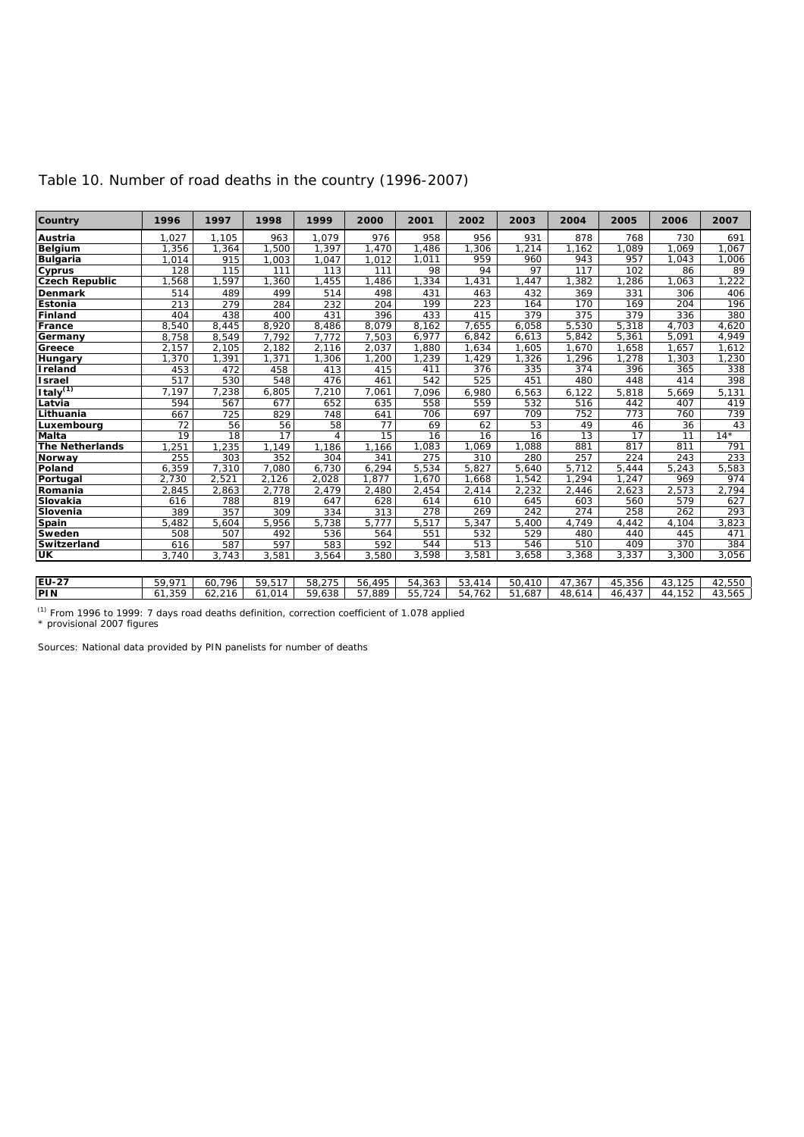| Country                | 1996   | 1997            | 1998            | 1999           | 2000   | 2001   | 2002   | 2003   | 2004            | 2005            | 2006            | 2007   |
|------------------------|--------|-----------------|-----------------|----------------|--------|--------|--------|--------|-----------------|-----------------|-----------------|--------|
| Austria                | 1,027  | 1.105           | 963             | 1,079          | 976    | 958    | 956    | 931    | 878             | 768             | 730             | 691    |
| Belgium                | 1,356  | 1,364           | .500            | 1.397          | .470   | ,486   | ,306   | ,214   | 1,162           | ,089            | 1.069           | ,067   |
| <b>Bulgaria</b>        | 1,014  | 915             | 1,003           | 1,047          | 1,012  | 1,011  | 959    | 960    | 943             | 957             | 1,043           | ,006   |
| Cyprus                 | 128    | 115             | 111             | 113            | 111    | 98     | 94     | 97     | 117             | 102             | 86              | 89     |
| <b>Czech Republic</b>  | 1,568  | 1,597           | 1,360           | 1,455          | ,486   | 1,334  | 1,431  | 1,447  | 1.382           | 1,286           | 1.063           | ,222   |
| Denmark                | 514    | 489             | 499             | 514            | 498    | 431    | 463    | 432    | 369             | 331             | 306             | 406    |
| Estonia                | 213    | 279             | 284             | 232            | 204    | 199    | 223    | 164    | 170             | 169             | 204             | 196    |
| Finland                | 404    | 438             | 400             | 431            | 396    | 433    | 415    | 379    | 375             | 379             | 336             | 380    |
| France                 | 8,540  | 8,445           | 8,920           | 8,486          | 8,079  | 8,162  | 7,655  | 6,058  | 5,530           | 5,318           | 4,703           | 4,620  |
| Germany                | 8,758  | 8,549           | 7,792           | 7,772          | 7,503  | 6,977  | 6,842  | 6,613  | 5,842           | 5,361           | 5,091           | 4,949  |
| Greece                 | 2,157  | 2,105           | 2,182           | 2,116          | 2,037  | 1,880  | 1,634  | 1,605  | 1,670           | 1,658           | 1,657           | 1,612  |
| Hungary                | 1,370  | 1,391           | 1,371           | 1,306          | ,200   | 1,239  | 1,429  | 1,326  | 1,296           | 1,278           | 1,303           | 1,230  |
| Ireland                | 453    | 472             | 458             | 413            | 415    | 411    | 376    | 335    | 374             | 396             | 365             | 338    |
| <b>Israel</b>          | 517    | 530             | 548             | 476            | 461    | 542    | 525    | 451    | 480             | 448             | 414             | 398    |
| Italy <sup>(1)</sup>   | 7,197  | 7,238           | 6,805           | 7,210          | 7,061  | 7,096  | 6,980  | 6,563  | 6,122           | 5,818           | 5,669           | 5,131  |
| Latvia                 | 594    | 567             | 677             | 652            | 635    | 558    | 559    | 532    | 516             | 442             | 407             | 419    |
| Lithuania              | 667    | 725             | 829             | 748            | 641    | 706    | 697    | 709    | 752             | 773             | 760             | 739    |
| Luxembourg             | 72     | 56              | 56              | 58             | 77     | 69     | 62     | 53     | 49              | 46              | 36              | 43     |
| <b>Malta</b>           | 19     | $\overline{18}$ | $\overline{17}$ | $\overline{4}$ | 15     | 16     | 16     | 16     | $\overline{13}$ | $\overline{17}$ | $\overline{11}$ | $14*$  |
| <b>The Netherlands</b> | 1,251  | 1,235           | 1,149           | 1,186          | 1,166  | 1,083  | 1,069  | 1,088  | 881             | 817             | 811             | 791    |
| Norway                 | 255    | 303             | 352             | 304            | 341    | 275    | 310    | 280    | 257             | 224             | 243             | 233    |
| Poland                 | 6,359  | 7,310           | 7,080           | 6,730          | 6,294  | 5,534  | 5,827  | 5,640  | 5,712           | 5,444           | 5,243           | 5,583  |
| Portugal               | 2,730  | 2,521           | 2,126           | 2,028          | 1,877  | 1,670  | 1,668  | 1,542  | ,294            | 1,247           | 969             | 974    |
| Romania                | 2,845  | 2,863           | 2.778           | 2,479          | 2,480  | 2,454  | 2,414  | 2,232  | 2,446           | 2,623           | 2,573           | 2,794  |
| Slovakia               | 616    | 788             | 819             | 647            | 628    | 614    | 610    | 645    | 603             | 560             | 579             | 627    |
| Slovenia               | 389    | 357             | 309             | 334            | 313    | 278    | 269    | 242    | 274             | 258             | 262             | 293    |
| Spain                  | 5,482  | 5,604           | 5,956           | 5,738          | 5.777  | 5,517  | 5,347  | 5,400  | 4,749           | 4,442           | 4,104           | 3,823  |
| Sweden                 | 508    | 507             | 492             | 536            | 564    | 551    | 532    | 529    | 480             | 440             | 445             | 471    |
| Switzerland            | 616    | 587             | 597             | 583            | 592    | 544    | 513    | 546    | 510             | 409             | 370             | 384    |
| UK                     | 3,740  | 3,743           | 3,581           | 3,564          | 3,580  | 3,598  | 3,581  | 3,658  | 3,368           | 3,337           | 3,300           | 3,056  |
|                        |        |                 |                 |                |        |        |        |        |                 |                 |                 |        |
| <b>EU-27</b>           | 59,971 | 60,796          | 59,517          | 58,275         | 56,495 | 54,363 | 53,414 | 50,410 | 47,367          | 45,356          | 43,125          | 42,550 |
| PIN                    | 61,359 | 62,216          | 61,014          | 59,638         | 57,889 | 55,724 | 54,762 | 51,687 | 48,614          | 46,437          | 44,152          | 43,565 |

#### Table 10. Number of road deaths in the country (1996-2007)

<sup>(1)</sup> From 1996 to 1999: 7 days road deaths definition, correction coefficient of 1.078 applied

\* provisional 2007 figures

Sources: National data provided by PIN panelists for number of deaths